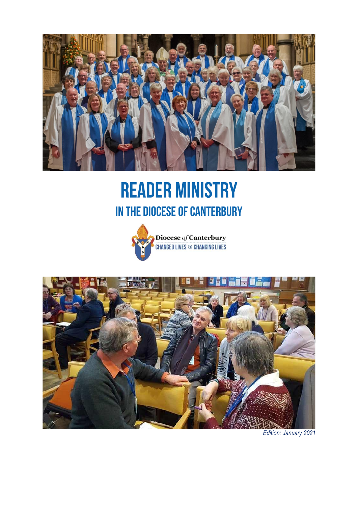

# **READER MINISTRY** IN THE DIOCESE OF CANTERBURY





*Edition: January 2021*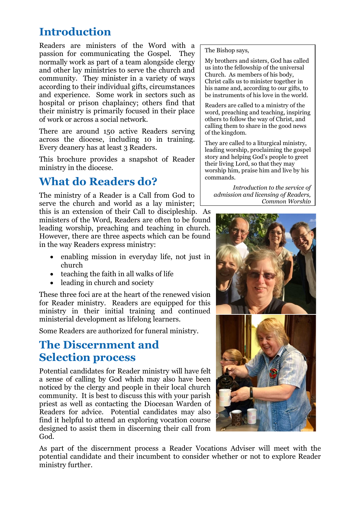### **Introduction**

Readers are ministers of the Word with a passion for communicating the Gospel. They normally work as part of a team alongside clergy and other lay ministries to serve the church and community. They minister in a variety of ways according to their individual gifts, circumstances and experience. Some work in sectors such as hospital or prison chaplaincy; others find that their ministry is primarily focused in their place of work or across a social network.

There are around 150 active Readers serving across the diocese, including 10 in training. Every deanery has at least 3 Readers.

This brochure provides a snapshot of Reader ministry in the diocese.

### **What do Readers do?**

The ministry of a Reader is a Call from God to serve the church and world as a lay minister; this is an extension of their Call to discipleship. As ministers of the Word, Readers are often to be found leading worship, preaching and teaching in church. However, there are three aspects which can be found in the way Readers express ministry:

- enabling mission in everyday life, not just in church
- teaching the faith in all walks of life
- leading in church and society

These three foci are at the heart of the renewed vision for Reader ministry. Readers are equipped for this ministry in their initial training and continued ministerial development as lifelong learners.

Some Readers are authorized for funeral ministry.

#### **The Discernment and Selection process**

Potential candidates for Reader ministry will have felt a sense of calling by God which may also have been noticed by the clergy and people in their local church community. It is best to discuss this with your parish priest as well as contacting the Diocesan Warden of Readers for advice. Potential candidates may also find it helpful to attend an exploring vocation course designed to assist them in discerning their call from God.

The Bishop says,

My brothers and sisters, God has called us into the fellowship of the universal Church. As members of his body, Christ calls us to minister together in his name and, according to our gifts, to be instruments of his love in the world.

Readers are called to a ministry of the word, preaching and teaching, inspiring others to follow the way of Christ, and calling them to share in the good news of the kingdom.

They are called to a liturgical ministry, leading worship, proclaiming the gospel story and helping God's people to greet their living Lord, so that they may worship him, praise him and live by his commands.

*Introduction to the service of admission and licensing of Readers, Common Worship*



As part of the discernment process a Reader Vocations Adviser will meet with the potential candidate and their incumbent to consider whether or not to explore Reader ministry further.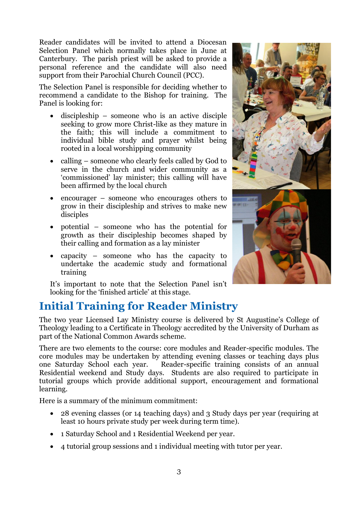Reader candidates will be invited to attend a Diocesan Selection Panel which normally takes place in June at Canterbury. The parish priest will be asked to provide a personal reference and the candidate will also need support from their Parochial Church Council (PCC).

The Selection Panel is responsible for deciding whether to recommend a candidate to the Bishop for training. The Panel is looking for:

- discipleship someone who is an active disciple seeking to grow more Christ-like as they mature in the faith; this will include a commitment to individual bible study and prayer whilst being rooted in a local worshipping community
- calling someone who clearly feels called by God to serve in the church and wider community as a 'commissioned' lay minister; this calling will have been affirmed by the local church
- encourager someone who encourages others to grow in their discipleship and strives to make new disciples
- potential someone who has the potential for growth as their discipleship becomes shaped by their calling and formation as a lay minister
- capacity someone who has the capacity to undertake the academic study and formational training

It's important to note that the Selection Panel isn't looking for the 'finished article' at this stage.



The two year Licensed Lay Ministry course is delivered by St Augustine's College of Theology leading to a Certificate in Theology accredited by the University of Durham as part of the National Common Awards scheme.

There are two elements to the course: core modules and Reader-specific modules. The core modules may be undertaken by attending evening classes or teaching days plus one Saturday School each year. Reader-specific training consists of an annual Residential weekend and Study days. Students are also required to participate in tutorial groups which provide additional support, encouragement and formational learning.

Here is a summary of the minimum commitment:

- 28 evening classes (or 14 teaching days) and 3 Study days per year (requiring at least 10 hours private study per week during term time).
- 1 Saturday School and 1 Residential Weekend per year.
- 4 tutorial group sessions and 1 individual meeting with tutor per year.

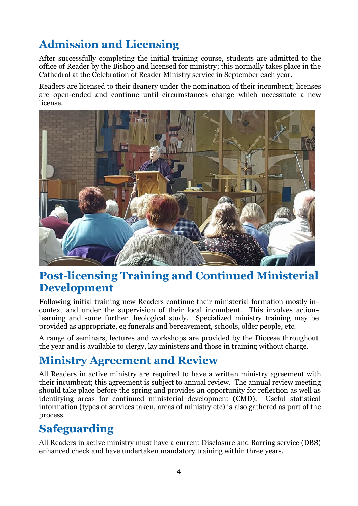### **Admission and Licensing**

After successfully completing the initial training course, students are admitted to the office of Reader by the Bishop and licensed for ministry; this normally takes place in the Cathedral at the Celebration of Reader Ministry service in September each year.

Readers are licensed to their deanery under the nomination of their incumbent; licenses are open-ended and continue until circumstances change which necessitate a new license.



#### **Post-licensing Training and Continued Ministerial Development**

Following initial training new Readers continue their ministerial formation mostly incontext and under the supervision of their local incumbent. This involves actionlearning and some further theological study. Specialized ministry training may be provided as appropriate, eg funerals and bereavement, schools, older people, etc.

A range of seminars, lectures and workshops are provided by the Diocese throughout the year and is available to clergy, lay ministers and those in training without charge.

### **Ministry Agreement and Review**

All Readers in active ministry are required to have a written ministry agreement with their incumbent; this agreement is subject to annual review. The annual review meeting should take place before the spring and provides an opportunity for reflection as well as identifying areas for continued ministerial development (CMD). Useful statistical information (types of services taken, areas of ministry etc) is also gathered as part of the process.

### **Safeguarding**

All Readers in active ministry must have a current Disclosure and Barring service (DBS) enhanced check and have undertaken mandatory training within three years.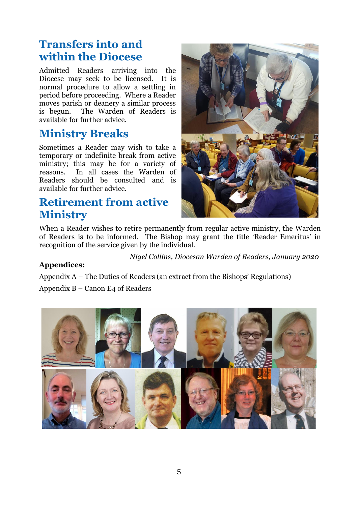#### **Transfers into and within the Diocese**

Admitted Readers arriving into the Diocese may seek to be licensed. It is normal procedure to allow a settling in period before proceeding. Where a Reader moves parish or deanery a similar process is begun. The Warden of Readers is available for further advice.

#### **Ministry Breaks**

Sometimes a Reader may wish to take a temporary or indefinite break from active ministry; this may be for a variety of reasons. In all cases the Warden of Readers should be consulted and is available for further advice.

#### **Retirement from active Ministry**



When a Reader wishes to retire permanently from regular active ministry, the Warden of Readers is to be informed. The Bishop may grant the title 'Reader Emeritus' in recognition of the service given by the individual.

*Nigel Collins, Diocesan Warden of Readers, January 2020*

#### **Appendices:**

Appendix A – The Duties of Readers (an extract from the Bishops' Regulations)

Appendix B – Canon E4 of Readers

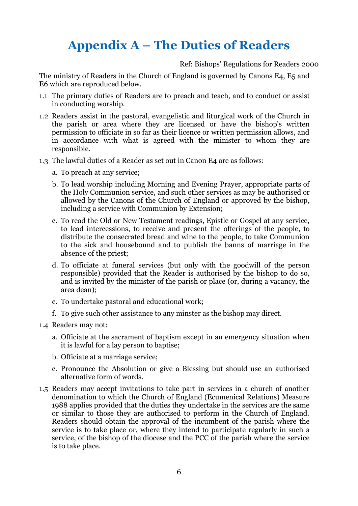## **Appendix A – The Duties of Readers**

Ref: Bishops' Regulations for Readers 2000

The ministry of Readers in the Church of England is governed by Canons E4, E5 and E6 which are reproduced below.

- 1.1 The primary duties of Readers are to preach and teach, and to conduct or assist in conducting worship.
- 1.2 Readers assist in the pastoral, evangelistic and liturgical work of the Church in the parish or area where they are licensed or have the bishop's written permission to officiate in so far as their licence or written permission allows, and in accordance with what is agreed with the minister to whom they are responsible.
- 1.3 The lawful duties of a Reader as set out in Canon E4 are as follows:
	- a. To preach at any service;
	- b. To lead worship including Morning and Evening Prayer, appropriate parts of the Holy Communion service, and such other services as may be authorised or allowed by the Canons of the Church of England or approved by the bishop, including a service with Communion by Extension;
	- c. To read the Old or New Testament readings, Epistle or Gospel at any service, to lead intercessions, to receive and present the offerings of the people, to distribute the consecrated bread and wine to the people, to take Communion to the sick and housebound and to publish the banns of marriage in the absence of the priest;
	- d. To officiate at funeral services (but only with the goodwill of the person responsible) provided that the Reader is authorised by the bishop to do so, and is invited by the minister of the parish or place (or, during a vacancy, the area dean);
	- e. To undertake pastoral and educational work;
	- f. To give such other assistance to any minster as the bishop may direct.
- 1.4 Readers may not:
	- a. Officiate at the sacrament of baptism except in an emergency situation when it is lawful for a lay person to baptise;
	- b. Officiate at a marriage service;
	- c. Pronounce the Absolution or give a Blessing but should use an authorised alternative form of words.
- 1.5 Readers may accept invitations to take part in services in a church of another denomination to which the Church of England (Ecumenical Relations) Measure 1988 applies provided that the duties they undertake in the services are the same or similar to those they are authorised to perform in the Church of England. Readers should obtain the approval of the incumbent of the parish where the service is to take place or, where they intend to participate regularly in such a service, of the bishop of the diocese and the PCC of the parish where the service is to take place.